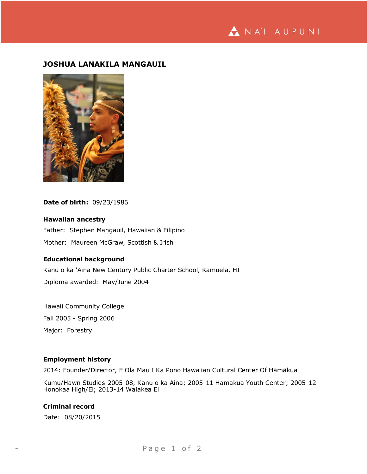ANA'I AUPUNI

# **JOSHUA LANAKILA MANGAUIL**



**Date of birth:** 09/23/1986

### **Hawaiian ancestry**

Father: Stephen Mangauil, Hawaiian & Filipino Mother: Maureen McGraw, Scottish & Irish

#### **Educational background**

Kanu o ka 'Aina New Century Public Charter School, Kamuela, HI Diploma awarded: May/June 2004

Hawaii Community College Fall 2005 - Spring 2006 Major: Forestry

### **Employment history**

2014: Founder/Director, E Ola Mau I Ka Pono Hawaiian Cultural Center Of Hāmākua

Kumu/Hawn Studies-2005-08, Kanu o ka Aina; 2005-11 Hamakua Youth Center; 2005-12 Honokaa High/El; 2013-14 Waiakea El

## **Criminal record**

Date: 08/20/2015